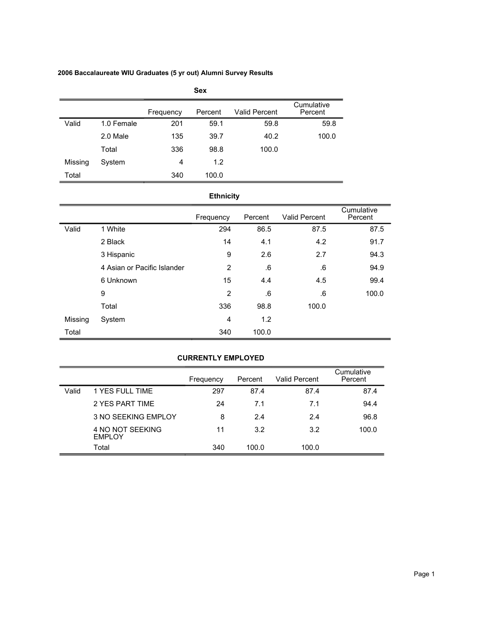## **2006 Baccalaureate WIU Graduates (5 yr out) Alumni Survey Results**

|         | <b>Sex</b> |           |         |                      |                       |  |  |  |  |
|---------|------------|-----------|---------|----------------------|-----------------------|--|--|--|--|
|         |            | Frequency | Percent | <b>Valid Percent</b> | Cumulative<br>Percent |  |  |  |  |
| Valid   | 1.0 Female | 201       | 59.1    | 59.8                 | 59.8                  |  |  |  |  |
|         | 2.0 Male   | 135       | 39.7    | 40.2                 | 100.0                 |  |  |  |  |
|         | Total      | 336       | 98.8    | 100.0                |                       |  |  |  |  |
| Missing | System     | 4         | 1.2     |                      |                       |  |  |  |  |
| Total   |            | 340       | 100.0   |                      |                       |  |  |  |  |

# **Ethnicity**

|         |                             | Frequency | Percent | <b>Valid Percent</b> | Cumulative<br>Percent |
|---------|-----------------------------|-----------|---------|----------------------|-----------------------|
| Valid   | 1 White                     | 294       | 86.5    | 87.5                 | 87.5                  |
|         | 2 Black                     | 14        | 4.1     | 4.2                  | 91.7                  |
|         | 3 Hispanic                  | 9         | 2.6     | 2.7                  | 94.3                  |
|         | 4 Asian or Pacific Islander | 2         | .6      | .6                   | 94.9                  |
|         | 6 Unknown                   | 15        | 4.4     | 4.5                  | 99.4                  |
|         | 9                           | 2         | .6      | .6                   | 100.0                 |
|         | Total                       | 336       | 98.8    | 100.0                |                       |
| Missing | System                      | 4         | 1.2     |                      |                       |
| Total   |                             | 340       | 100.0   |                      |                       |

## **CURRENTLY EMPLOYED**

|       |                                   | Frequency | Percent | <b>Valid Percent</b> | Cumulative<br>Percent |
|-------|-----------------------------------|-----------|---------|----------------------|-----------------------|
| Valid | 1 YES FULL TIME                   | 297       | 87.4    | 87.4                 | 87.4                  |
|       | 2 YES PART TIME                   | 24        | 7.1     | 7.1                  | 94.4                  |
|       | <b>3 NO SEEKING EMPLOY</b>        | 8         | 24      | 2.4                  | 96.8                  |
|       | 4 NO NOT SEEKING<br><b>EMPLOY</b> | 11        | 3.2     | 3.2                  | 100.0                 |
|       | Total                             | 340       | 100.0   | 100.0                |                       |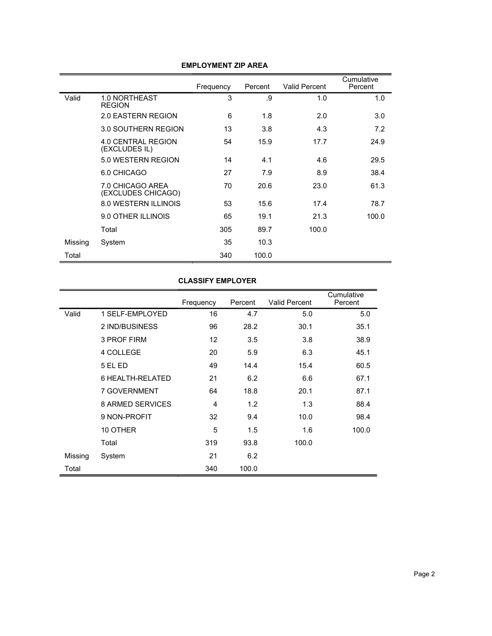|         |                                        | Frequency | Percent | Valid Percent | Cumulative<br>Percent |
|---------|----------------------------------------|-----------|---------|---------------|-----------------------|
| Valid   | 1.0 NORTHEAST<br><b>REGION</b>         | 3         | .9      | 1.0           | 1.0                   |
|         | 2.0 EASTERN REGION                     | 6         | 1.8     | 2.0           | 3.0                   |
|         | 3.0 SOUTHERN REGION                    | 13        | 3.8     | 4.3           | 7.2                   |
|         | 4.0 CENTRAL REGION<br>(EXCLUDES IL)    | 54        | 15.9    | 17.7          | 24.9                  |
|         | 5.0 WESTERN REGION                     | 14        | 4.1     | 4.6           | 29.5                  |
|         | 6.0 CHICAGO                            | 27        | 7.9     | 8.9           | 38.4                  |
|         | 7.0 CHICAGO AREA<br>(EXCLUDES CHICAGO) | 70        | 20.6    | 23.0          | 61.3                  |
|         | <b>8.0 WESTERN ILLINOIS</b>            | 53        | 15.6    | 17.4          | 78.7                  |
|         | 9.0 OTHER ILLINOIS                     | 65        | 19.1    | 21.3          | 100.0                 |
|         | Total                                  | 305       | 89.7    | 100.0         |                       |
| Missing | System                                 | 35        | 10.3    |               |                       |
| Total   |                                        | 340       | 100.0   |               |                       |

## **EMPLOYMENT ZIP AREA**

### **CLASSIFY EMPLOYER**

|         |                         | Frequency | Percent | <b>Valid Percent</b> | Cumulative<br>Percent |
|---------|-------------------------|-----------|---------|----------------------|-----------------------|
| Valid   | 1 SELF-EMPLOYED         | 16        | 4.7     | 5.0                  | 5.0                   |
|         | 2 IND/BUSINESS          | 96        | 28.2    | 30.1                 | 35.1                  |
|         | 3 PROF FIRM             | 12        | 3.5     | 3.8                  | 38.9                  |
|         | 4 COLLEGE               | 20        | 5.9     | 6.3                  | 45.1                  |
|         | 5 EL ED                 | 49        | 14.4    | 15.4                 | 60.5                  |
|         | 6 HEALTH-RELATED        | 21        | 6.2     | 6.6                  | 67.1                  |
|         | <b>7 GOVERNMENT</b>     | 64        | 18.8    | 20.1                 | 87.1                  |
|         | <b>8 ARMED SERVICES</b> | 4         | 1.2     | 1.3                  | 88.4                  |
|         | 9 NON-PROFIT            | 32        | 9.4     | 10.0                 | 98.4                  |
|         | 10 OTHER                | 5         | 1.5     | 1.6                  | 100.0                 |
|         | Total                   | 319       | 93.8    | 100.0                |                       |
| Missing | System                  | 21        | 6.2     |                      |                       |
| Total   |                         | 340       | 100.0   |                      |                       |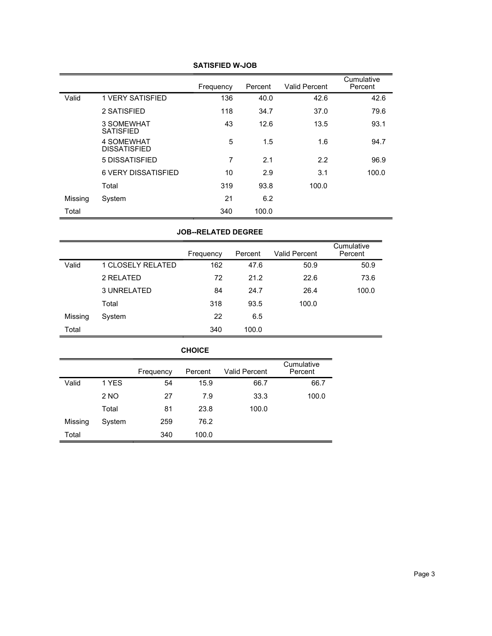|         |                                   | Frequency | Percent | <b>Valid Percent</b> | Cumulative<br>Percent |
|---------|-----------------------------------|-----------|---------|----------------------|-----------------------|
| Valid   | <b>1 VERY SATISFIED</b>           | 136       | 40.0    | 42.6                 | 42.6                  |
|         | 2 SATISFIED                       | 118       | 34.7    | 37.0                 | 79.6                  |
|         | 3 SOMEWHAT<br><b>SATISFIED</b>    | 43        | 12.6    | 13.5                 | 93.1                  |
|         | 4 SOMEWHAT<br><b>DISSATISFIED</b> | 5         | 1.5     | 1.6                  | 94.7                  |
|         | 5 DISSATISFIED                    | 7         | 2.1     | 2.2                  | 96.9                  |
|         | <b>6 VERY DISSATISFIED</b>        | 10        | 2.9     | 3.1                  | 100.0                 |
|         | Total                             | 319       | 93.8    | 100.0                |                       |
| Missing | System                            | 21        | 6.2     |                      |                       |
| Total   |                                   | 340       | 100.0   |                      |                       |

### **SATISFIED W-JOB**

### **JOB--RELATED DEGREE**

|         |                   | Frequency | Percent | <b>Valid Percent</b> | Cumulative<br>Percent |
|---------|-------------------|-----------|---------|----------------------|-----------------------|
| Valid   | 1 CLOSELY RELATED | 162       | 47.6    | 50.9                 | 50.9                  |
|         | 2 RELATED         | 72        | 21.2    | 22.6                 | 73.6                  |
|         | 3 UNRELATED       | 84        | 24.7    | 26.4                 | 100.0                 |
|         | Total             | 318       | 93.5    | 100.0                |                       |
| Missing | System            | 22        | 6.5     |                      |                       |
| Total   |                   | 340       | 100.0   |                      |                       |

| <b>CHOICE</b> |        |           |         |               |                       |  |  |  |
|---------------|--------|-----------|---------|---------------|-----------------------|--|--|--|
|               |        | Frequency | Percent | Valid Percent | Cumulative<br>Percent |  |  |  |
| Valid         | 1 YES  | 54        | 15.9    | 66.7          | 66.7                  |  |  |  |
|               | 2 NO   | 27        | 7.9     | 33.3          | 100.0                 |  |  |  |
|               | Total  | 81        | 23.8    | 100.0         |                       |  |  |  |
| Missing       | System | 259       | 76.2    |               |                       |  |  |  |
| Total         |        | 340       | 100.0   |               |                       |  |  |  |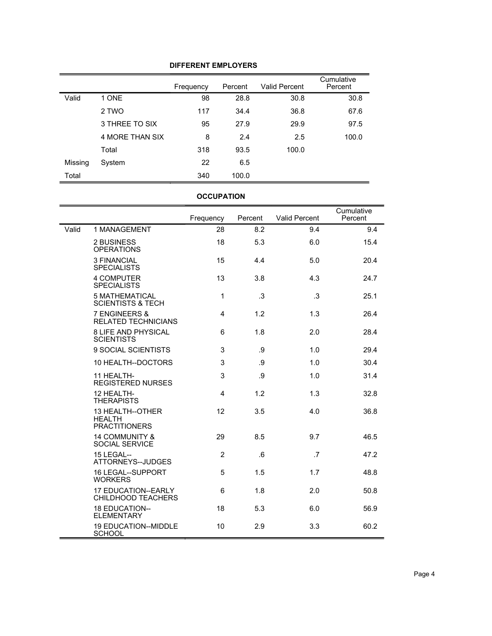## **DIFFERENT EMPLOYERS**

|         |                 | Frequency | Percent | <b>Valid Percent</b> | Cumulative<br>Percent |
|---------|-----------------|-----------|---------|----------------------|-----------------------|
| Valid   | 1 ONE           | 98        | 28.8    | 30.8                 | 30.8                  |
|         | 2 TWO           | 117       | 34.4    | 36.8                 | 67.6                  |
|         | 3 THREE TO SIX  | 95        | 27.9    | 29.9                 | 97.5                  |
|         | 4 MORE THAN SIX | 8         | 2.4     | 2.5                  | 100.0                 |
|         | Total           | 318       | 93.5    | 100.0                |                       |
| Missing | System          | 22        | 6.5     |                      |                       |
| Total   |                 | 340       | 100.0   |                      |                       |

## **OCCUPATION**

|       |                                                           | Frequency      | Percent | <b>Valid Percent</b> | Cumulative<br>Percent |
|-------|-----------------------------------------------------------|----------------|---------|----------------------|-----------------------|
| Valid | 1 MANAGEMENT                                              | 28             | 8.2     | 9.4                  | 9.4                   |
|       | 2 BUSINESS<br><b>OPERATIONS</b>                           | 18             | 5.3     | 6.0                  | 15.4                  |
|       | <b>3 FINANCIAL</b><br><b>SPECIALISTS</b>                  | 15             | 4.4     | 5.0                  | 20.4                  |
|       | <b>4 COMPUTER</b><br><b>SPECIALISTS</b>                   | 13             | 3.8     | 4.3                  | 24.7                  |
|       | <b>5 MATHEMATICAL</b><br><b>SCIENTISTS &amp; TECH</b>     | 1              | .3      | .3                   | 25.1                  |
|       | 7 ENGINEERS &<br><b>RELATED TECHNICIANS</b>               | 4              | 1.2     | 1.3                  | 26.4                  |
|       | <b>8 LIFE AND PHYSICAL</b><br><b>SCIENTISTS</b>           | 6              | 1.8     | 2.0                  | 28.4                  |
|       | 9 SOCIAL SCIENTISTS                                       | 3              | .9      | 1.0                  | 29.4                  |
|       | 10 HEALTH--DOCTORS                                        | 3              | .9      | 1.0                  | 30.4                  |
|       | 11 HEALTH-<br><b>REGISTERED NURSES</b>                    | 3              | .9      | 1.0                  | 31.4                  |
|       | 12 HEALTH-<br><b>THERAPISTS</b>                           | 4              | 1.2     | 1.3                  | 32.8                  |
|       | 13 HEALTH--OTHER<br><b>HEALTH</b><br><b>PRACTITIONERS</b> | 12             | 3.5     | 4.0                  | 36.8                  |
|       | <b>14 COMMUNITY &amp;</b><br>SOCIAL SERVICE               | 29             | 8.5     | 9.7                  | 46.5                  |
|       | <b>15 LEGAL--</b><br>ATTORNEYS--JUDGES                    | $\overline{2}$ | .6      | .7                   | 47.2                  |
|       | <b>16 LEGAL--SUPPORT</b><br><b>WORKERS</b>                | 5              | 1.5     | 1.7                  | 48.8                  |
|       | 17 EDUCATION--EARLY<br><b>CHILDHOOD TEACHERS</b>          | 6              | 1.8     | 2.0                  | 50.8                  |
|       | 18 EDUCATION--<br><b>ELEMENTARY</b>                       | 18             | 5.3     | 6.0                  | 56.9                  |
|       | <b>19 EDUCATION--MIDDLE</b><br><b>SCHOOL</b>              | 10             | 2.9     | 3.3                  | 60.2                  |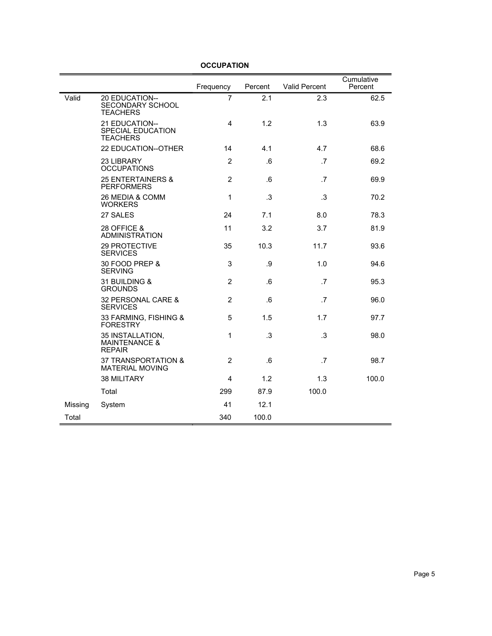|         |                                                               | Frequency      | Percent | <b>Valid Percent</b> | Cumulative<br>Percent |
|---------|---------------------------------------------------------------|----------------|---------|----------------------|-----------------------|
| Valid   | 20 EDUCATION--<br>SECONDARY SCHOOL<br><b>TEACHERS</b>         | $\overline{7}$ | 2.1     | 2.3                  | 62.5                  |
|         | 21 EDUCATION--<br>SPECIAL EDUCATION<br><b>TEACHERS</b>        | 4              | 1.2     | 1.3                  | 63.9                  |
|         | <b>22 EDUCATION--OTHER</b>                                    | 14             | 4.1     | 4.7                  | 68.6                  |
|         | 23 LIBRARY<br><b>OCCUPATIONS</b>                              | $\overline{2}$ | .6      | $\cdot$ 7            | 69.2                  |
|         | <b>25 ENTERTAINERS &amp;</b><br><b>PERFORMERS</b>             | $\overline{2}$ | .6      | .7                   | 69.9                  |
|         | 26 MEDIA & COMM<br><b>WORKERS</b>                             | 1              | .3      | .3                   | 70.2                  |
|         | 27 SALES                                                      | 24             | 7.1     | 8.0                  | 78.3                  |
|         | 28 OFFICE &<br><b>ADMINISTRATION</b>                          | 11             | 3.2     | 3.7                  | 81.9                  |
|         | 29 PROTECTIVE<br><b>SERVICES</b>                              | 35             | 10.3    | 11.7                 | 93.6                  |
|         | 30 FOOD PREP &<br><b>SERVING</b>                              | 3              | .9      | 1.0                  | 94.6                  |
|         | 31 BUILDING &<br><b>GROUNDS</b>                               | $\overline{2}$ | 6.6     | .7                   | 95.3                  |
|         | 32 PERSONAL CARE &<br><b>SERVICES</b>                         | $\overline{2}$ | .6      | $.7\phantom{0}$      | 96.0                  |
|         | 33 FARMING, FISHING &<br><b>FORESTRY</b>                      | 5              | 1.5     | 1.7                  | 97.7                  |
|         | 35 INSTALLATION,<br><b>MAINTENANCE &amp;</b><br><b>REPAIR</b> | 1              | .3      | .3                   | 98.0                  |
|         | 37 TRANSPORTATION &<br><b>MATERIAL MOVING</b>                 | $\overline{2}$ | .6      | $\cdot$ 7            | 98.7                  |
|         | 38 MILITARY                                                   | 4              | 1.2     | 1.3                  | 100.0                 |
|         | Total                                                         | 299            | 87.9    | 100.0                |                       |
| Missing | System                                                        | 41             | 12.1    |                      |                       |
| Total   |                                                               | 340            | 100.0   |                      |                       |

## **OCCUPATION**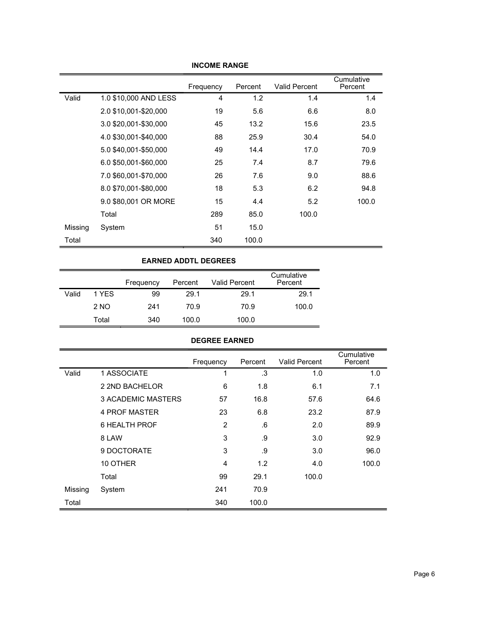|         |                       | Frequency | Percent | <b>Valid Percent</b> | Cumulative<br>Percent |
|---------|-----------------------|-----------|---------|----------------------|-----------------------|
| Valid   | 1.0 \$10,000 AND LESS | 4         | 1.2     | 1.4                  | 1.4                   |
|         | 2.0 \$10,001-\$20,000 | 19        | 5.6     | 6.6                  | 8.0                   |
|         | 3.0 \$20,001-\$30,000 | 45        | 13.2    | 15.6                 | 23.5                  |
|         | 4.0 \$30,001-\$40,000 | 88        | 25.9    | 30.4                 | 54.0                  |
|         | 5.0 \$40,001-\$50,000 | 49        | 14.4    | 17.0                 | 70.9                  |
|         | 6.0 \$50,001-\$60,000 | 25        | 7.4     | 8.7                  | 79.6                  |
|         | 7.0 \$60,001-\$70,000 | 26        | 7.6     | 9.0                  | 88.6                  |
|         | 8.0 \$70,001-\$80,000 | 18        | 5.3     | 6.2                  | 94.8                  |
|         | 9.0 \$80,001 OR MORE  | 15        | 4.4     | 5.2                  | 100.0                 |
|         | Total                 | 289       | 85.0    | 100.0                |                       |
| Missing | System                | 51        | 15.0    |                      |                       |
| Total   |                       | 340       | 100.0   |                      |                       |

#### **INCOME RANGE**

#### **EARNED ADDTL DEGREES**

|       |       | Frequency | Percent | <b>Valid Percent</b> | Cumulative<br>Percent |
|-------|-------|-----------|---------|----------------------|-----------------------|
| Valid | 1 YFS | 99        | 29.1    | 29.1                 | 29.1                  |
|       | 2 NO  | 241       | 70.9    | 70.9                 | 100.0                 |
|       | Total | 340       | 100.0   | 100.0                |                       |

| <b>DEGREE EARNED</b> |                           |           |         |                      |                       |  |  |  |
|----------------------|---------------------------|-----------|---------|----------------------|-----------------------|--|--|--|
|                      |                           | Frequency | Percent | <b>Valid Percent</b> | Cumulative<br>Percent |  |  |  |
| Valid                | 1 ASSOCIATE               | 1         | .3      | 1.0                  | 1.0                   |  |  |  |
|                      | 2 2ND BACHELOR            | 6         | 1.8     | 6.1                  | 7.1                   |  |  |  |
|                      | <b>3 ACADEMIC MASTERS</b> | 57        | 16.8    | 57.6                 | 64.6                  |  |  |  |
|                      | 4 PROF MASTER             | 23        | 6.8     | 23.2                 | 87.9                  |  |  |  |
|                      | 6 HEALTH PROF             | 2         | .6      | 2.0                  | 89.9                  |  |  |  |
|                      | 8 LAW                     | 3         | .9      | 3.0                  | 92.9                  |  |  |  |
|                      | 9 DOCTORATE               | 3         | .9      | 3.0                  | 96.0                  |  |  |  |
|                      | 10 OTHER                  | 4         | 1.2     | 4.0                  | 100.0                 |  |  |  |
|                      | Total                     | 99        | 29.1    | 100.0                |                       |  |  |  |
| Missing              | System                    | 241       | 70.9    |                      |                       |  |  |  |
| Total                |                           | 340       | 100.0   |                      |                       |  |  |  |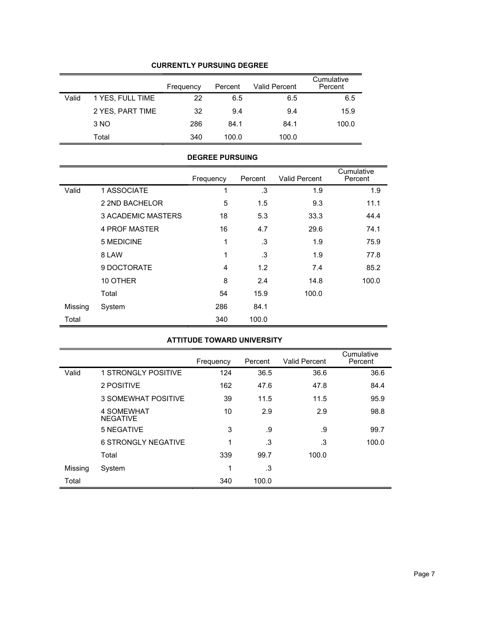|       |                  | Frequency | Percent | <b>Valid Percent</b> | Cumulative<br>Percent |
|-------|------------------|-----------|---------|----------------------|-----------------------|
| Valid | 1 YES, FULL TIME | 22        | 6.5     | 6.5                  | 6.5                   |
|       | 2 YES, PART TIME | 32        | 9.4     | 9.4                  | 15.9                  |
|       | 3 NO             | 286       | 84.1    | 84.1                 | 100.0                 |
|       | Total            | 340       | 100.0   | 100.0                |                       |

### **CURRENTLY PURSUING DEGREE**

#### **DEGREE PURSUING**

|         |                           | Frequency | Percent | <b>Valid Percent</b> | Cumulative<br>Percent |
|---------|---------------------------|-----------|---------|----------------------|-----------------------|
| Valid   | 1 ASSOCIATE               | 1         | .3      | 1.9                  | 1.9                   |
|         | 2 2ND BACHELOR            | 5         | 1.5     | 9.3                  | 11.1                  |
|         | <b>3 ACADEMIC MASTERS</b> | 18        | 5.3     | 33.3                 | 44.4                  |
|         | <b>4 PROF MASTER</b>      | 16        | 4.7     | 29.6                 | 74.1                  |
|         | 5 MEDICINE                | 1         | .3      | 1.9                  | 75.9                  |
|         | 8 LAW                     | 1         | .3      | 1.9                  | 77.8                  |
|         | 9 DOCTORATE               | 4         | 1.2     | 7.4                  | 85.2                  |
|         | 10 OTHER                  | 8         | 2.4     | 14.8                 | 100.0                 |
|         | Total                     | 54        | 15.9    | 100.0                |                       |
| Missing | System                    | 286       | 84.1    |                      |                       |
| Total   |                           | 340       | 100.0   |                      |                       |

## **ATTITUDE TOWARD UNIVERSITY**

|         |                               | Frequency | Percent | <b>Valid Percent</b> | Cumulative<br>Percent |
|---------|-------------------------------|-----------|---------|----------------------|-----------------------|
| Valid   | <b>1 STRONGLY POSITIVE</b>    | 124       | 36.5    | 36.6                 | 36.6                  |
|         | 2 POSITIVE                    | 162       | 47.6    | 47.8                 | 84.4                  |
|         | 3 SOMEWHAT POSITIVE           | 39        | 11.5    | 11.5                 | 95.9                  |
|         | 4 SOMEWHAT<br><b>NEGATIVE</b> | 10        | 2.9     | 2.9                  | 98.8                  |
|         | 5 NEGATIVE                    | 3         | .9      | .9                   | 99.7                  |
|         | <b>6 STRONGLY NEGATIVE</b>    | 1         | .3      | .3                   | 100.0                 |
|         | Total                         | 339       | 99.7    | 100.0                |                       |
| Missing | System                        | 1         | .3      |                      |                       |
| Total   |                               | 340       | 100.0   |                      |                       |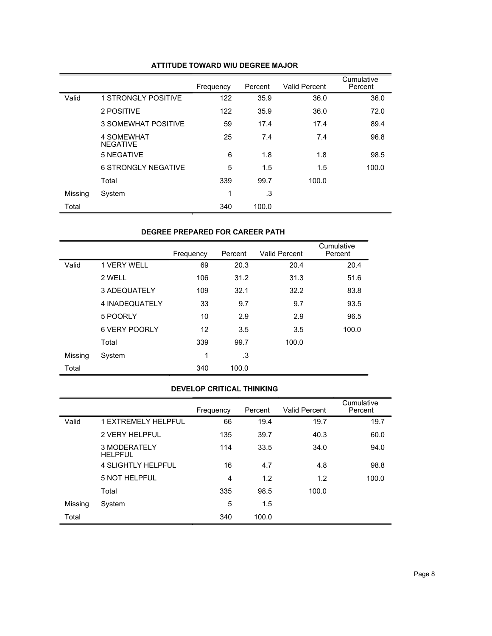|         |                               | Frequency | Percent | <b>Valid Percent</b> | Cumulative<br>Percent |
|---------|-------------------------------|-----------|---------|----------------------|-----------------------|
| Valid   | <b>1 STRONGLY POSITIVE</b>    | 122       | 35.9    | 36.0                 | 36.0                  |
|         | 2 POSITIVE                    | 122       | 35.9    | 36.0                 | 72.0                  |
|         | 3 SOMEWHAT POSITIVE           | 59        | 17.4    | 17.4                 | 89.4                  |
|         | 4 SOMEWHAT<br><b>NEGATIVE</b> | 25        | 7.4     | 7.4                  | 96.8                  |
|         | 5 NEGATIVE                    | 6         | 1.8     | 1.8                  | 98.5                  |
|         | 6 STRONGLY NEGATIVE           | 5         | 1.5     | 1.5                  | 100.0                 |
|         | Total                         | 339       | 99.7    | 100.0                |                       |
| Missing | System                        | 1         | .3      |                      |                       |
| Total   |                               | 340       | 100.0   |                      |                       |

#### **ATTITUDE TOWARD WIU DEGREE MAJOR**

#### **DEGREE PREPARED FOR CAREER PATH**

|         |                | Frequency | Percent | Valid Percent | Cumulative<br>Percent |
|---------|----------------|-----------|---------|---------------|-----------------------|
| Valid   | 1 VERY WELL    | 69        | 20.3    | 20.4          | 20.4                  |
|         | 2 WELL         | 106       | 31.2    | 31.3          | 51.6                  |
|         | 3 ADEQUATELY   | 109       | 32.1    | 32.2          | 83.8                  |
|         | 4 INADEQUATELY | 33        | 9.7     | 9.7           | 93.5                  |
|         | 5 POORLY       | 10        | 2.9     | 2.9           | 96.5                  |
|         | 6 VERY POORLY  | 12        | 3.5     | 3.5           | 100.0                 |
|         | Total          | 339       | 99.7    | 100.0         |                       |
| Missing | System         | 1         | .3      |               |                       |
| Total   |                | 340       | 100.0   |               |                       |

## **DEVELOP CRITICAL THINKING**

|         |                                | Frequency | Percent | <b>Valid Percent</b> | Cumulative<br>Percent |
|---------|--------------------------------|-----------|---------|----------------------|-----------------------|
| Valid   | <b>1 EXTREMELY HELPFUL</b>     | 66        | 19.4    | 19.7                 | 19.7                  |
|         | 2 VERY HEI PEUL                | 135       | 39.7    | 40.3                 | 60.0                  |
|         | 3 MODERATELY<br><b>HELPFUL</b> | 114       | 33.5    | 34.0                 | 94.0                  |
|         | 4 SLIGHTI Y HEI PEUL           | 16        | 4.7     | 4.8                  | 98.8                  |
|         | <b>5 NOT HELPFUL</b>           | 4         | 1.2     | 1.2                  | 100.0                 |
|         | Total                          | 335       | 98.5    | 100.0                |                       |
| Missing | System                         | 5         | 1.5     |                      |                       |
| Total   |                                | 340       | 100.0   |                      |                       |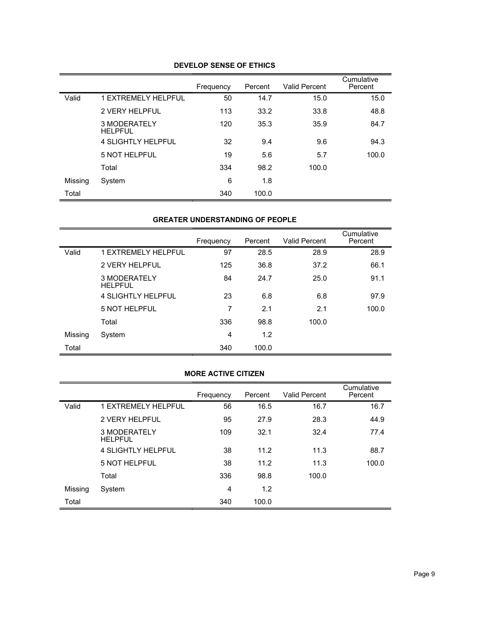|         |                                | Frequency | Percent | <b>Valid Percent</b> | Cumulative<br>Percent |
|---------|--------------------------------|-----------|---------|----------------------|-----------------------|
| Valid   | <b>1 EXTREMELY HELPFUL</b>     | 50        | 14.7    | 15.0                 | 15.0                  |
|         | <b>2 VERY HELPFUL</b>          | 113       | 33.2    | 33.8                 | 48.8                  |
|         | 3 MODERATELY<br><b>HELPFUL</b> | 120       | 35.3    | 35.9                 | 84.7                  |
|         | 4 SLIGHTLY HELPFUL             | 32        | 9.4     | 9.6                  | 94.3                  |
|         | <b>5 NOT HELPFUL</b>           | 19        | 5.6     | 5.7                  | 100.0                 |
|         | Total                          | 334       | 98.2    | 100.0                |                       |
| Missing | System                         | 6         | 1.8     |                      |                       |
| Total   |                                | 340       | 100.0   |                      |                       |

## **DEVELOP SENSE OF ETHICS**

#### **GREATER UNDERSTANDING OF PEOPLE**

|         |                                | Frequency | Percent | <b>Valid Percent</b> | Cumulative<br>Percent |
|---------|--------------------------------|-----------|---------|----------------------|-----------------------|
| Valid   | <b>1 EXTREMELY HELPFUL</b>     | 97        | 28.5    | 28.9                 | 28.9                  |
|         | <b>2 VERY HELPFUL</b>          | 125       | 36.8    | 37.2                 | 66.1                  |
|         | 3 MODERATELY<br><b>HELPFUL</b> | 84        | 24.7    | 25.0                 | 91.1                  |
|         | 4 SLIGHTLY HELPFUL             | 23        | 6.8     | 6.8                  | 97.9                  |
|         | 5 NOT HELPFUL                  | 7         | 2.1     | 2.1                  | 100.0                 |
|         | Total                          | 336       | 98.8    | 100.0                |                       |
| Missing | System                         | 4         | 1.2     |                      |                       |
| Total   |                                | 340       | 100.0   |                      |                       |

#### **MORE ACTIVE CITIZEN**

|         |                                | Frequency      | Percent | Valid Percent | Cumulative<br>Percent |
|---------|--------------------------------|----------------|---------|---------------|-----------------------|
| Valid   | <b>1 EXTREMELY HELPFUL</b>     | 56             | 16.5    | 16.7          | 16.7                  |
|         | <b>2 VERY HELPFUL</b>          | 95             | 27.9    | 28.3          | 44.9                  |
|         | 3 MODERATELY<br><b>HELPFUL</b> | 109            | 32.1    | 32.4          | 77.4                  |
|         | 4 SI IGHTI Y HFI PFUL          | 38             | 11.2    | 11.3          | 88.7                  |
|         | <b>5 NOT HELPFUL</b>           | 38             | 11.2    | 11.3          | 100.0                 |
|         | Total                          | 336            | 98.8    | 100.0         |                       |
| Missing | System                         | $\overline{4}$ | 1.2     |               |                       |
| Total   |                                | 340            | 100.0   |               |                       |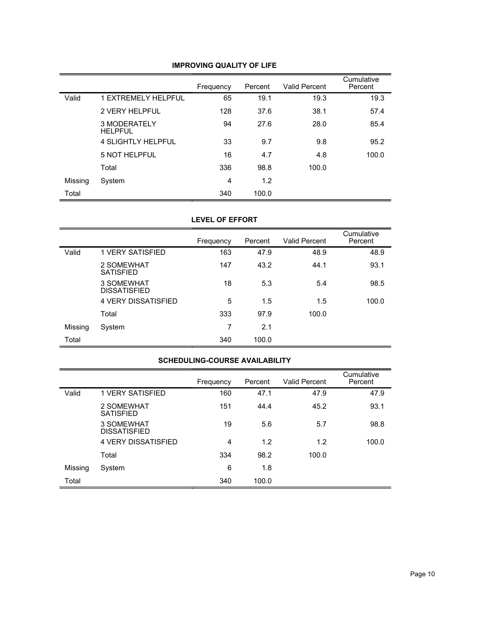|         |                                | Frequency | Percent | <b>Valid Percent</b> | Cumulative<br>Percent |
|---------|--------------------------------|-----------|---------|----------------------|-----------------------|
| Valid   | <b>1 EXTREMELY HELPFUL</b>     | 65        | 19.1    | 19.3                 | 19.3                  |
|         | <b>2 VERY HELPFUL</b>          | 128       | 37.6    | 38.1                 | 57.4                  |
|         | 3 MODERATELY<br><b>HELPFUL</b> | 94        | 27.6    | 28.0                 | 85.4                  |
|         | 4 SLIGHTLY HELPFUL             | 33        | 9.7     | 9.8                  | 95.2                  |
|         | <b>5 NOT HELPFUL</b>           | 16        | 4.7     | 4.8                  | 100.0                 |
|         | Total                          | 336       | 98.8    | 100.0                |                       |
| Missing | System                         | 4         | 1.2     |                      |                       |
| Total   |                                | 340       | 100.0   |                      |                       |

### **IMPROVING QUALITY OF LIFE**

#### **LEVEL OF EFFORT**

|         |                                   | Frequency | Percent | <b>Valid Percent</b> | Cumulative<br>Percent |
|---------|-----------------------------------|-----------|---------|----------------------|-----------------------|
| Valid   | 1 VERY SATISFIED                  | 163       | 47.9    | 48.9                 | 48.9                  |
|         | 2 SOMEWHAT<br><b>SATISFIED</b>    | 147       | 43.2    | 44.1                 | 93.1                  |
|         | 3 SOMEWHAT<br><b>DISSATISFIED</b> | 18        | 5.3     | 5.4                  | 98.5                  |
|         | <b>4 VERY DISSATISFIED</b>        | 5         | 1.5     | 1.5                  | 100.0                 |
|         | Total                             | 333       | 97.9    | 100.0                |                       |
| Missing | System                            | 7         | 2.1     |                      |                       |
| Total   |                                   | 340       | 100.0   |                      |                       |

#### **SCHEDULING-COURSE AVAILABILITY**

|         |                                   | Frequency | Percent | <b>Valid Percent</b> | Cumulative<br>Percent |
|---------|-----------------------------------|-----------|---------|----------------------|-----------------------|
| Valid   | 1 VERY SATISFIED                  | 160       | 47.1    | 47.9                 | 47.9                  |
|         | 2 SOMEWHAT<br><b>SATISFIED</b>    | 151       | 44.4    | 45.2                 | 93.1                  |
|         | 3 SOMEWHAT<br><b>DISSATISFIED</b> | 19        | 5.6     | 5.7                  | 98.8                  |
|         | <b>4 VERY DISSATISFIED</b>        | 4         | 1.2     | 1.2                  | 100.0                 |
|         | Total                             | 334       | 98.2    | 100.0                |                       |
| Missing | System                            | 6         | 1.8     |                      |                       |
| Total   |                                   | 340       | 100.0   |                      |                       |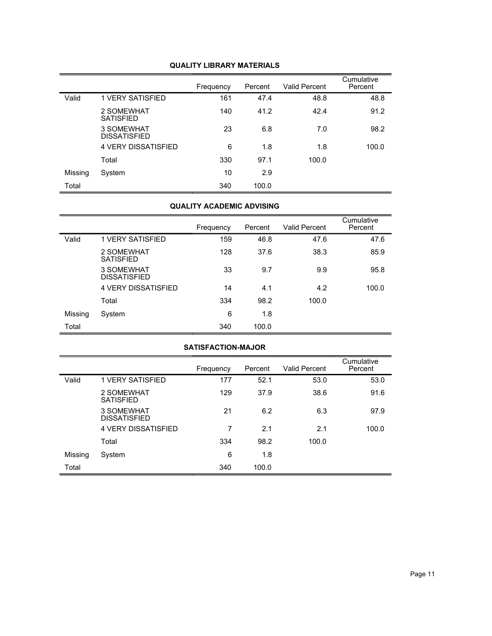|         |                                   | Frequency | Percent | <b>Valid Percent</b> | Cumulative<br>Percent |
|---------|-----------------------------------|-----------|---------|----------------------|-----------------------|
| Valid   | <b>1 VERY SATISFIED</b>           | 161       | 47.4    | 48.8                 | 48.8                  |
|         | 2 SOMEWHAT<br><b>SATISFIED</b>    | 140       | 41.2    | 42.4                 | 91.2                  |
|         | 3 SOMEWHAT<br><b>DISSATISFIED</b> | 23        | 6.8     | 7.0                  | 98.2                  |
|         | <b>4 VERY DISSATISFIED</b>        | 6         | 1.8     | 1.8                  | 100.0                 |
|         | Total                             | 330       | 97.1    | 100.0                |                       |
| Missing | System                            | 10        | 2.9     |                      |                       |
| Total   |                                   | 340       | 100.0   |                      |                       |

### **QUALITY LIBRARY MATERIALS**

## **QUALITY ACADEMIC ADVISING**

|         |                                   | Frequency | Percent | <b>Valid Percent</b> | Cumulative<br>Percent |
|---------|-----------------------------------|-----------|---------|----------------------|-----------------------|
| Valid   | <b>1 VERY SATISFIED</b>           | 159       | 46.8    | 47.6                 | 47.6                  |
|         | 2 SOMEWHAT<br><b>SATISFIED</b>    | 128       | 37.6    | 38.3                 | 85.9                  |
|         | 3 SOMEWHAT<br><b>DISSATISFIED</b> | 33        | 9.7     | 9.9                  | 95.8                  |
|         | <b>4 VERY DISSATISFIED</b>        | 14        | 4.1     | 4.2                  | 100.0                 |
|         | Total                             | 334       | 98.2    | 100.0                |                       |
| Missing | System                            | 6         | 1.8     |                      |                       |
| Total   |                                   | 340       | 100.0   |                      |                       |

## **SATISFACTION-MAJOR**

|         |                                   | Frequency | Percent | <b>Valid Percent</b> | Cumulative<br>Percent |
|---------|-----------------------------------|-----------|---------|----------------------|-----------------------|
| Valid   | <b>1 VERY SATISFIED</b>           | 177       | 52.1    | 53.0                 | 53.0                  |
|         | 2 SOMEWHAT<br><b>SATISFIED</b>    | 129       | 37.9    | 38.6                 | 91.6                  |
|         | 3 SOMEWHAT<br><b>DISSATISFIED</b> | 21        | 6.2     | 6.3                  | 97.9                  |
|         | <b>4 VERY DISSATISFIED</b>        | 7         | 2.1     | 2.1                  | 100.0                 |
|         | Total                             | 334       | 98.2    | 100.0                |                       |
| Missing | System                            | 6         | 1.8     |                      |                       |
| Total   |                                   | 340       | 100.0   |                      |                       |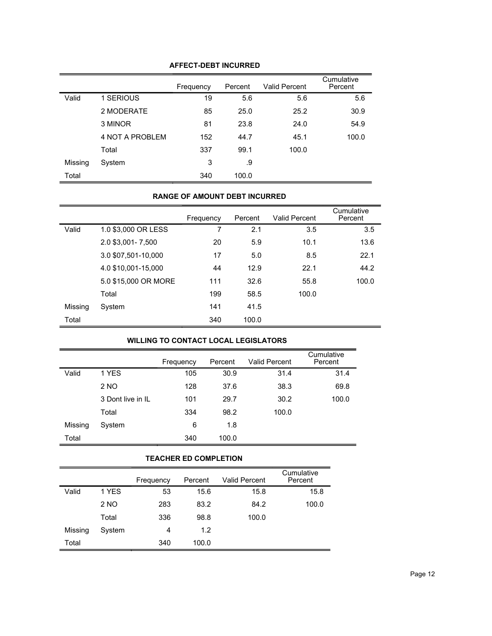| <b>AFFECT-DEBT INCURRED</b> |  |
|-----------------------------|--|
|-----------------------------|--|

|         |                 | Frequency | Percent | <b>Valid Percent</b> | Cumulative<br>Percent |
|---------|-----------------|-----------|---------|----------------------|-----------------------|
| Valid   | 1 SERIOUS       | 19        | 5.6     | 5.6                  | 5.6                   |
|         | 2 MODERATE      | 85        | 25.0    | 25.2                 | 30.9                  |
|         | 3 MINOR         | 81        | 23.8    | 24.0                 | 54.9                  |
|         | 4 NOT A PROBLEM | 152       | 44.7    | 45.1                 | 100.0                 |
|         | Total           | 337       | 99.1    | 100.0                |                       |
| Missing | System          | 3         | .9      |                      |                       |
| Total   |                 | 340       | 100.0   |                      |                       |

### **RANGE OF AMOUNT DEBT INCURRED**

|         |                      | Frequency | Percent | <b>Valid Percent</b> | Cumulative<br>Percent |
|---------|----------------------|-----------|---------|----------------------|-----------------------|
| Valid   | 1.0 \$3,000 OR LESS  | 7         | 2.1     | 3.5                  | 3.5                   |
|         | 2.0 \$3,001 - 7,500  | 20        | 5.9     | 10.1                 | 13.6                  |
|         | 3.0 \$07,501-10,000  | 17        | 5.0     | 8.5                  | 22.1                  |
|         | 4.0 \$10,001-15,000  | 44        | 12.9    | 22.1                 | 44.2                  |
|         | 5.0 \$15,000 OR MORE | 111       | 32.6    | 55.8                 | 100.0                 |
|         | Total                | 199       | 58.5    | 100.0                |                       |
| Missing | System               | 141       | 41.5    |                      |                       |
| Total   |                      | 340       | 100.0   |                      |                       |

## **WILLING TO CONTACT LOCAL LEGISLATORS**

|         |                   | Frequency | Percent | <b>Valid Percent</b> | Cumulative<br>Percent |
|---------|-------------------|-----------|---------|----------------------|-----------------------|
| Valid   | 1 YES             | 105       | 30.9    | 31.4                 | 31.4                  |
|         | 2 NO              | 128       | 37.6    | 38.3                 | 69.8                  |
|         | 3 Dont live in IL | 101       | 29.7    | 30.2                 | 100.0                 |
|         | Total             | 334       | 98.2    | 100.0                |                       |
| Missing | System            | 6         | 1.8     |                      |                       |
| Total   |                   | 340       | 100.0   |                      |                       |

#### **TEACHER ED COMPLETION**

|         |        | Frequency | Percent | <b>Valid Percent</b> | Cumulative<br>Percent |
|---------|--------|-----------|---------|----------------------|-----------------------|
| Valid   | 1 YES  | 53        | 15.6    | 15.8                 | 15.8                  |
|         | 2 NO   | 283       | 83.2    | 84.2                 | 100.0                 |
|         | Total  | 336       | 98.8    | 100.0                |                       |
| Missing | System | 4         | 1.2     |                      |                       |
| Total   |        | 340       | 100.0   |                      |                       |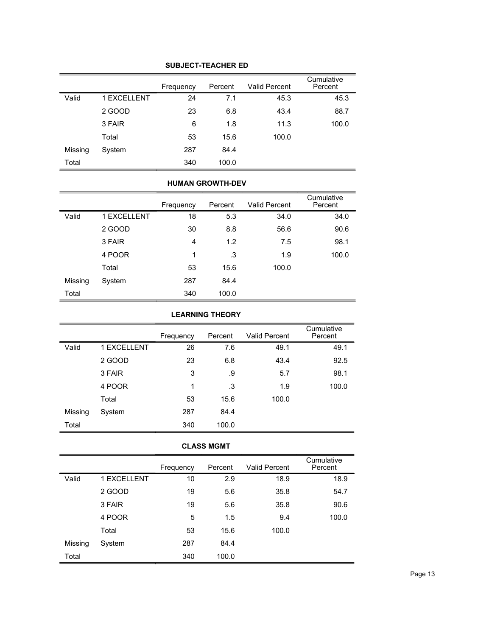|         |             | Frequency | Percent | <b>Valid Percent</b> | Cumulative<br>Percent |
|---------|-------------|-----------|---------|----------------------|-----------------------|
| Valid   | 1 EXCELLENT | 24        | 7.1     | 45.3                 | 45.3                  |
|         | 2 GOOD      | 23        | 6.8     | 43.4                 | 88.7                  |
|         | 3 FAIR      | 6         | 1.8     | 11.3                 | 100.0                 |
|         | Total       | 53        | 15.6    | 100.0                |                       |
| Missing | System      | 287       | 84.4    |                      |                       |
| Total   |             | 340       | 100.0   |                      |                       |

### **SUBJECT-TEACHER ED**

#### **HUMAN GROWTH-DEV**

|         |             | Frequency | Percent | <b>Valid Percent</b> | Cumulative<br>Percent |
|---------|-------------|-----------|---------|----------------------|-----------------------|
| Valid   | 1 EXCELLENT | 18        | 5.3     | 34.0                 | 34.0                  |
|         | 2 GOOD      | 30        | 8.8     | 56.6                 | 90.6                  |
|         | 3 FAIR      | 4         | 1.2     | 7.5                  | 98.1                  |
|         | 4 POOR      | 1         | .3      | 1.9                  | 100.0                 |
|         | Total       | 53        | 15.6    | 100.0                |                       |
| Missing | System      | 287       | 84.4    |                      |                       |
| Total   |             | 340       | 100.0   |                      |                       |

## **LEARNING THEORY**

|         |                    | Frequency | Percent | <b>Valid Percent</b> | Cumulative<br>Percent |
|---------|--------------------|-----------|---------|----------------------|-----------------------|
| Valid   | <b>1 EXCELLENT</b> | 26        | 7.6     | 49.1                 | 49.1                  |
|         | 2 GOOD             | 23        | 6.8     | 43.4                 | 92.5                  |
|         | 3 FAIR             | 3         | .9      | 5.7                  | 98.1                  |
|         | 4 POOR             | 1         | .3      | 1.9                  | 100.0                 |
|         | Total              | 53        | 15.6    | 100.0                |                       |
| Missing | System             | 287       | 84.4    |                      |                       |
| Total   |                    | 340       | 100.0   |                      |                       |

#### **CLASS MGMT**

|         |             | Frequency | Percent | <b>Valid Percent</b> | Cumulative<br>Percent |
|---------|-------------|-----------|---------|----------------------|-----------------------|
| Valid   | 1 EXCELLENT | 10        | 2.9     | 18.9                 | 18.9                  |
|         | 2 GOOD      | 19        | 5.6     | 35.8                 | 54.7                  |
|         | 3 FAIR      | 19        | 5.6     | 35.8                 | 90.6                  |
|         | 4 POOR      | 5         | 1.5     | 9.4                  | 100.0                 |
|         | Total       | 53        | 15.6    | 100.0                |                       |
| Missing | System      | 287       | 84.4    |                      |                       |
| Total   |             | 340       | 100.0   |                      |                       |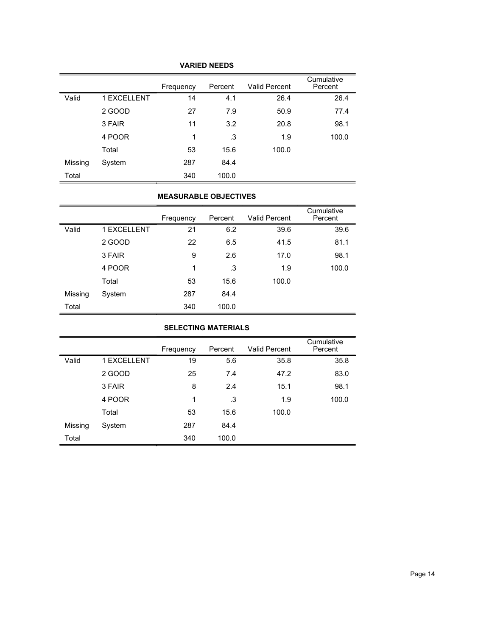|         |             | Frequency | Percent | <b>Valid Percent</b> | Cumulative<br>Percent |
|---------|-------------|-----------|---------|----------------------|-----------------------|
| Valid   | 1 EXCELLENT | 14        | 4.1     | 26.4                 | 26.4                  |
|         | 2 GOOD      | 27        | 7.9     | 50.9                 | 77.4                  |
|         | 3 FAIR      | 11        | 3.2     | 20.8                 | 98.1                  |
|         | 4 POOR      | 1         | .3      | 1.9                  | 100.0                 |
|         | Total       | 53        | 15.6    | 100.0                |                       |
| Missing | System      | 287       | 84.4    |                      |                       |
| Total   |             | 340       | 100.0   |                      |                       |

## **VARIED NEEDS**

#### **MEASURABLE OBJECTIVES**

|         |             | Frequency | Percent | <b>Valid Percent</b> | Cumulative<br>Percent |
|---------|-------------|-----------|---------|----------------------|-----------------------|
| Valid   | 1 EXCELLENT | 21        | 6.2     | 39.6                 | 39.6                  |
|         | 2 GOOD      | 22        | 6.5     | 41.5                 | 81.1                  |
|         | 3 FAIR      | 9         | 2.6     | 17.0                 | 98.1                  |
|         | 4 POOR      | 1         | .3      | 1.9                  | 100.0                 |
|         | Total       | 53        | 15.6    | 100.0                |                       |
| Missing | System      | 287       | 84.4    |                      |                       |
| Total   |             | 340       | 100.0   |                      |                       |

## **SELECTING MATERIALS**

|         |             | Frequency | Percent | <b>Valid Percent</b> | Cumulative<br>Percent |
|---------|-------------|-----------|---------|----------------------|-----------------------|
| Valid   | 1 EXCELLENT | 19        | 5.6     | 35.8                 | 35.8                  |
|         | 2 GOOD      | 25        | 7.4     | 47.2                 | 83.0                  |
|         | 3 FAIR      | 8         | 2.4     | 15.1                 | 98.1                  |
|         | 4 POOR      | 1         | .3      | 1.9                  | 100.0                 |
|         | Total       | 53        | 15.6    | 100.0                |                       |
| Missing | System      | 287       | 84.4    |                      |                       |
| Total   |             | 340       | 100.0   |                      |                       |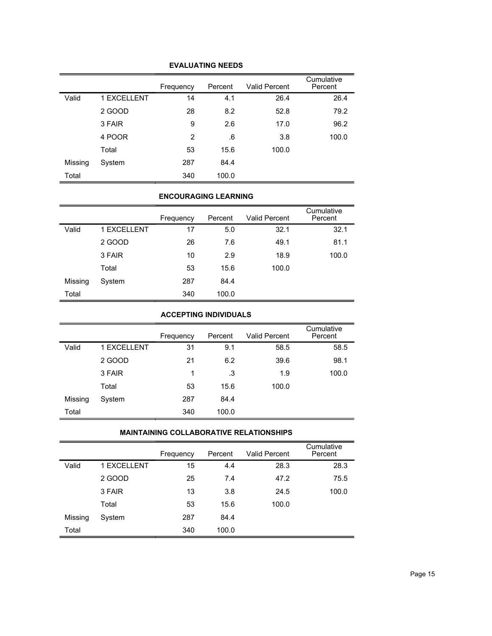|         |             | Frequency | Percent | <b>Valid Percent</b> | Cumulative<br>Percent |
|---------|-------------|-----------|---------|----------------------|-----------------------|
| Valid   | 1 EXCELLENT | 14        | 4.1     | 26.4                 | 26.4                  |
|         | 2 GOOD      | 28        | 8.2     | 52.8                 | 79.2                  |
|         | 3 FAIR      | 9         | 2.6     | 17.0                 | 96.2                  |
|         | 4 POOR      | 2         | .6      | 3.8                  | 100.0                 |
|         | Total       | 53        | 15.6    | 100.0                |                       |
| Missing | System      | 287       | 84.4    |                      |                       |
| Total   |             | 340       | 100.0   |                      |                       |

### **EVALUATING NEEDS**

### **ENCOURAGING LEARNING**

|         |             | Frequency | Percent | <b>Valid Percent</b> | Cumulative<br>Percent |
|---------|-------------|-----------|---------|----------------------|-----------------------|
| Valid   | 1 EXCELLENT | 17        | 5.0     | 32.1                 | 32.1                  |
|         | 2 GOOD      | 26        | 7.6     | 49.1                 | 81.1                  |
|         | 3 FAIR      | 10        | 2.9     | 18.9                 | 100.0                 |
|         | Total       | 53        | 15.6    | 100.0                |                       |
| Missing | System      | 287       | 84.4    |                      |                       |
| Total   |             | 340       | 100.0   |                      |                       |

## **ACCEPTING INDIVIDUALS**

|         |             | Frequency | Percent | <b>Valid Percent</b> | Cumulative<br>Percent |
|---------|-------------|-----------|---------|----------------------|-----------------------|
| Valid   | 1 EXCELLENT | 31        | 9.1     | 58.5                 | 58.5                  |
|         | 2 GOOD      | 21        | 6.2     | 39.6                 | 98.1                  |
|         | 3 FAIR      | 1         | .3      | 1.9                  | 100.0                 |
|         | Total       | 53        | 15.6    | 100.0                |                       |
| Missing | System      | 287       | 84.4    |                      |                       |
| Total   |             | 340       | 100.0   |                      |                       |

### **MAINTAINING COLLABORATIVE RELATIONSHIPS**

|         |             | Frequency | Percent | Valid Percent | Cumulative<br>Percent |
|---------|-------------|-----------|---------|---------------|-----------------------|
| Valid   | 1 EXCELLENT | 15        | 4.4     | 28.3          | 28.3                  |
|         | 2 GOOD      | 25        | 7.4     | 47.2          | 75.5                  |
|         | 3 FAIR      | 13        | 3.8     | 24.5          | 100.0                 |
|         | Total       | 53        | 15.6    | 100.0         |                       |
| Missing | System      | 287       | 84.4    |               |                       |
| Total   |             | 340       | 100.0   |               |                       |